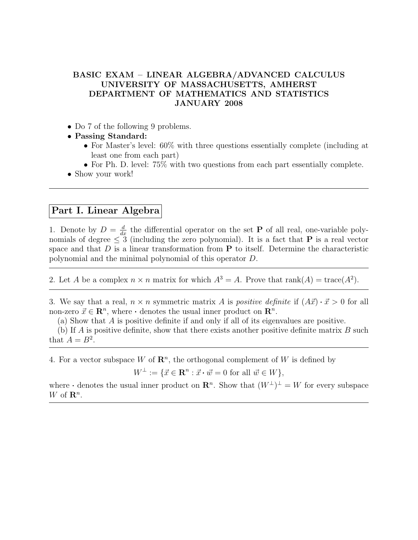## BASIC EXAM – LINEAR ALGEBRA/ADVANCED CALCULUS UNIVERSITY OF MASSACHUSETTS, AMHERST DEPARTMENT OF MATHEMATICS AND STATISTICS JANUARY 2008

- Do 7 of the following 9 problems.
- Passing Standard:
	- For Master's level: 60% with three questions essentially complete (including at least one from each part)
	- For Ph. D. level: 75% with two questions from each part essentially complete.
- Show your work!

## Part I. Linear Algebra

1. Denote by  $D = \frac{d}{dx}$  the differential operator on the set **P** of all real, one-variable polynomials of degree  $\leq 3$  (including the zero polynomial). It is a fact that **P** is a real vector space and that  $D$  is a linear transformation from  $P$  to itself. Determine the characteristic polynomial and the minimal polynomial of this operator D.

2. Let A be a complex  $n \times n$  matrix for which  $A^3 = A$ . Prove that rank $(A) = \text{trace}(A^2)$ .

3. We say that a real,  $n \times n$  symmetric matrix A is *positive definite* if  $(A\vec{x}) \cdot \vec{x} > 0$  for all non-zero  $\vec{x} \in \mathbb{R}^n$ , where  $\cdot$  denotes the usual inner product on  $\mathbb{R}^n$ .

(a) Show that A is positive definite if and only if all of its eigenvalues are positive.

(b) If A is positive definite, show that there exists another positive definite matrix  $B$  such that  $A = B^2$ .

4. For a vector subspace W of  $\mathbb{R}^n$ , the orthogonal complement of W is defined by

 $W^{\perp} := \{ \vec{x} \in \mathbb{R}^n : \vec{x} \cdot \vec{w} = 0 \text{ for all } \vec{w} \in W \},\$ 

where  $\cdot$  denotes the usual inner product on  $\mathbb{R}^n$ . Show that  $(W^{\perp})^{\perp} = W$  for every subspace W of  $\mathbf{R}^n$ .